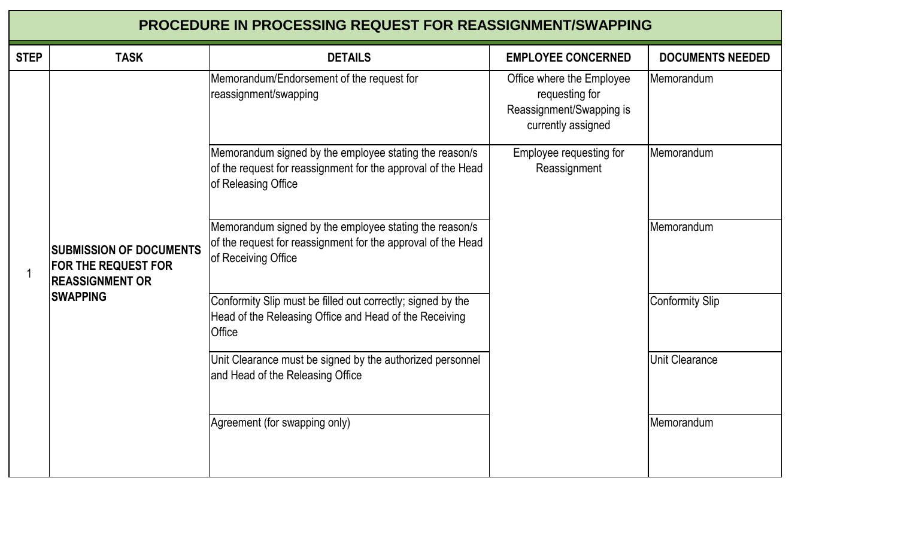## **PROCEDURE IN PROCESSING REQUEST FOR REASSIGNMENT/SWAPPING**

| <b>STEP</b> | <b>TASK</b>                                                                                                | <b>DETAILS</b>                                                                                                                                | <b>EMPLOYEE CONCERNED</b>                                                                     | <b>DOCUMENTS NEEDED</b> |
|-------------|------------------------------------------------------------------------------------------------------------|-----------------------------------------------------------------------------------------------------------------------------------------------|-----------------------------------------------------------------------------------------------|-------------------------|
|             | <b>SUBMISSION OF DOCUMENTS</b><br><b>FOR THE REQUEST FOR</b><br><b>REASSIGNMENT OR</b><br><b>ISWAPPING</b> | Memorandum/Endorsement of the request for<br>reassignment/swapping                                                                            | Office where the Employee<br>requesting for<br>Reassignment/Swapping is<br>currently assigned | Memorandum              |
|             |                                                                                                            | Memorandum signed by the employee stating the reason/s<br>of the request for reassignment for the approval of the Head<br>of Releasing Office | Employee requesting for<br>Reassignment                                                       | Memorandum              |
|             |                                                                                                            | Memorandum signed by the employee stating the reason/s<br>of the request for reassignment for the approval of the Head<br>of Receiving Office |                                                                                               | <b>Memorandum</b>       |
|             |                                                                                                            | Conformity Slip must be filled out correctly; signed by the<br>Head of the Releasing Office and Head of the Receiving<br><b>Office</b>        |                                                                                               | <b>Conformity Slip</b>  |
|             |                                                                                                            | Unit Clearance must be signed by the authorized personnel<br>and Head of the Releasing Office                                                 |                                                                                               | <b>Unit Clearance</b>   |
|             |                                                                                                            | Agreement (for swapping only)                                                                                                                 |                                                                                               | Memorandum              |